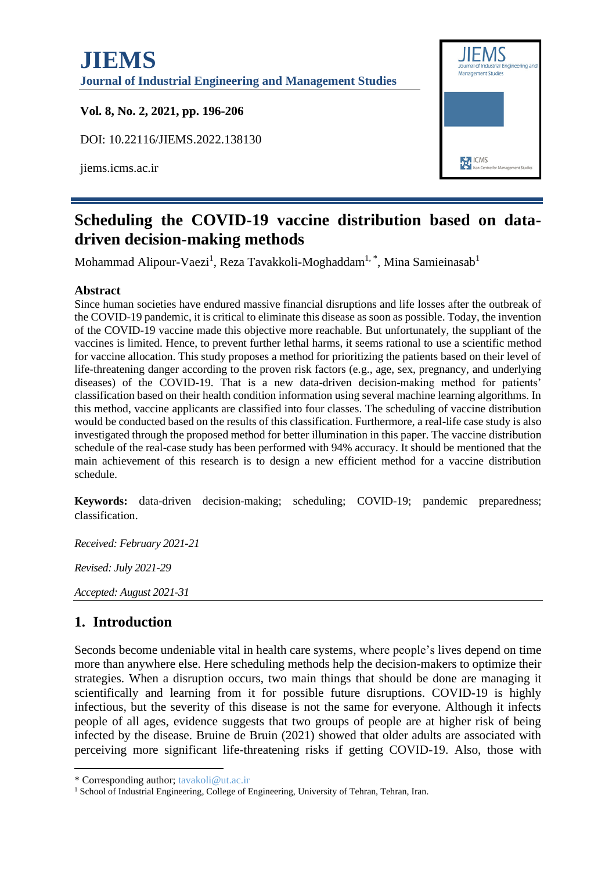

# **Scheduling the COVID-19 vaccine distribution based on datadriven decision-making methods**

Mohammad Alipour-Vaezi<sup>1</sup>, Reza Tavakkoli-Moghaddam<sup>1,\*</sup>, Mina Samieinasab<sup>1</sup>

#### **Abstract**

Since human societies have endured massive financial disruptions and life losses after the outbreak of the COVID-19 pandemic, it is critical to eliminate this disease as soon as possible. Today, the invention of the COVID-19 vaccine made this objective more reachable. But unfortunately, the suppliant of the vaccines is limited. Hence, to prevent further lethal harms, it seems rational to use a scientific method for vaccine allocation. This study proposes a method for prioritizing the patients based on their level of life-threatening danger according to the proven risk factors (e.g., age, sex, pregnancy, and underlying diseases) of the COVID-19. That is a new data-driven decision-making method for patients' classification based on their health condition information using several machine learning algorithms. In this method, vaccine applicants are classified into four classes. The scheduling of vaccine distribution would be conducted based on the results of this classification. Furthermore, a real-life case study is also investigated through the proposed method for better illumination in this paper. The vaccine distribution schedule of the real-case study has been performed with 94% accuracy. It should be mentioned that the main achievement of this research is to design a new efficient method for a vaccine distribution schedule.

**Keywords:** data-driven decision-making; scheduling; COVID-19; pandemic preparedness; classification.

*Received: February 2021-21*

*Revised: July 2021-29*

*Accepted: August 2021-31*

# **1. Introduction**

Seconds become undeniable vital in health care systems, where people's lives depend on time more than anywhere else. Here scheduling methods help the decision-makers to optimize their strategies. When a disruption occurs, two main things that should be done are managing it scientifically and learning from it for possible future disruptions. COVID-19 is highly infectious, but the severity of this disease is not the same for everyone. Although it infects people of all ages, evidence suggests that two groups of people are at higher risk of being infected by the disease. Bruine de Bruin (2021) showed that older adults are associated with perceiving more significant life-threatening risks if getting COVID-19. Also, those with

<sup>\*</sup> Corresponding author; tavakoli@ut.ac.ir

<sup>&</sup>lt;sup>1</sup> School of Industrial Engineering, College of Engineering, University of Tehran, Tehran, Iran.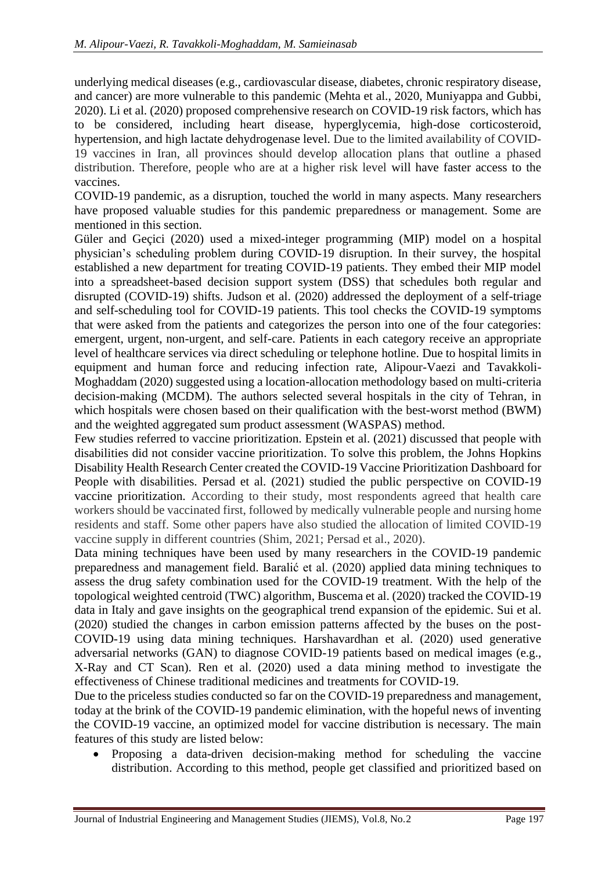underlying medical diseases (e.g., cardiovascular disease, diabetes, chronic respiratory disease, and cancer) are more vulnerable to this pandemic (Mehta et al., 2020, Muniyappa and Gubbi, 2020). Li et al. (2020) proposed comprehensive research on COVID-19 risk factors, which has to be considered, including heart disease, hyperglycemia, high-dose corticosteroid, hypertension, and high lactate dehydrogenase level. Due to the limited availability of COVID-19 vaccines in Iran, all provinces should develop allocation plans that outline a phased distribution. Therefore, people who are at a higher risk level will have faster access to the vaccines.

COVID-19 pandemic, as a disruption, touched the world in many aspects. Many researchers have proposed valuable studies for this pandemic preparedness or management. Some are mentioned in this section.

Güler and Geçici (2020) used a mixed-integer programming (MIP) model on a hospital physician's scheduling problem during COVID-19 disruption. In their survey, the hospital established a new department for treating COVID-19 patients. They embed their MIP model into a spreadsheet-based decision support system (DSS) that schedules both regular and disrupted (COVID-19) shifts. Judson et al. (2020) addressed the deployment of a self-triage and self-scheduling tool for COVID-19 patients. This tool checks the COVID-19 symptoms that were asked from the patients and categorizes the person into one of the four categories: emergent, urgent, non-urgent, and self-care. Patients in each category receive an appropriate level of healthcare services via direct scheduling or telephone hotline. Due to hospital limits in equipment and human force and reducing infection rate, Alipour-Vaezi and Tavakkoli-Moghaddam (2020) suggested using a location-allocation methodology based on multi-criteria decision-making (MCDM). The authors selected several hospitals in the city of Tehran, in which hospitals were chosen based on their qualification with the best-worst method (BWM) and the weighted aggregated sum product assessment (WASPAS) method.

Few studies referred to vaccine prioritization. Epstein et al. (2021) discussed that people with disabilities did not consider vaccine prioritization. To solve this problem, the Johns Hopkins Disability Health Research Center created the COVID-19 Vaccine Prioritization Dashboard for People with disabilities. Persad et al. (2021) studied the public perspective on COVID-19 vaccine prioritization. According to their study, most respondents agreed that health care workers should be vaccinated first, followed by medically vulnerable people and nursing home residents and staff. Some other papers have also studied the allocation of limited COVID-19 vaccine supply in different countries (Shim, 2021; Persad et al., 2020).

Data mining techniques have been used by many researchers in the COVID-19 pandemic preparedness and management field. Baralić et al. (2020) applied data mining techniques to assess the drug safety combination used for the COVID-19 treatment. With the help of the topological weighted centroid (TWC) algorithm, Buscema et al. (2020) tracked the COVID-19 data in Italy and gave insights on the geographical trend expansion of the epidemic. Sui et al. (2020) studied the changes in carbon emission patterns affected by the buses on the post-COVID-19 using data mining techniques. Harshavardhan et al. (2020) used generative adversarial networks (GAN) to diagnose COVID-19 patients based on medical images (e.g., X-Ray and CT Scan). Ren et al. (2020) used a data mining method to investigate the effectiveness of Chinese traditional medicines and treatments for COVID-19.

Due to the priceless studies conducted so far on the COVID-19 preparedness and management, today at the brink of the COVID-19 pandemic elimination, with the hopeful news of inventing the COVID-19 vaccine, an optimized model for vaccine distribution is necessary. The main features of this study are listed below:

• Proposing a data-driven decision-making method for scheduling the vaccine distribution. According to this method, people get classified and prioritized based on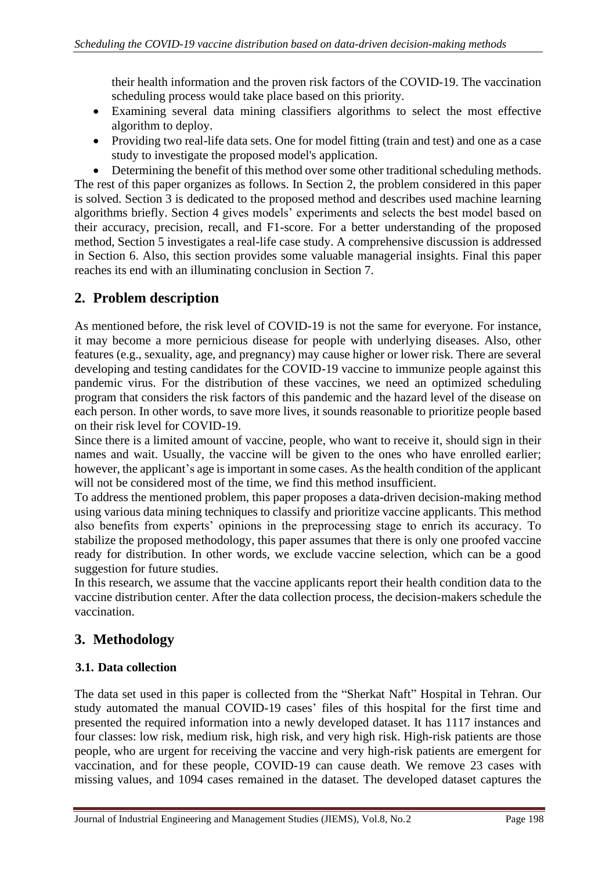their health information and the proven risk factors of the COVID-19. The vaccination scheduling process would take place based on this priority.

- Examining several data mining classifiers algorithms to select the most effective algorithm to deploy.
- Providing two real-life data sets. One for model fitting (train and test) and one as a case study to investigate the proposed model's application.

• Determining the benefit of this method over some other traditional scheduling methods. The rest of this paper organizes as follows. In Section 2, the problem considered in this paper is solved. Section 3 is dedicated to the proposed method and describes used machine learning algorithms briefly. Section 4 gives models' experiments and selects the best model based on their accuracy, precision, recall, and F1-score. For a better understanding of the proposed method, Section 5 investigates a real-life case study. A comprehensive discussion is addressed in Section 6. Also, this section provides some valuable managerial insights. Final this paper reaches its end with an illuminating conclusion in Section 7.

## **2. Problem description**

As mentioned before, the risk level of COVID-19 is not the same for everyone. For instance, it may become a more pernicious disease for people with underlying diseases. Also, other features (e.g., sexuality, age, and pregnancy) may cause higher or lower risk. There are several developing and testing candidates for the COVID-19 vaccine to immunize people against this pandemic virus. For the distribution of these vaccines, we need an optimized scheduling program that considers the risk factors of this pandemic and the hazard level of the disease on each person. In other words, to save more lives, it sounds reasonable to prioritize people based on their risk level for COVID-19.

Since there is a limited amount of vaccine, people, who want to receive it, should sign in their names and wait. Usually, the vaccine will be given to the ones who have enrolled earlier; however, the applicant's age is important in some cases. As the health condition of the applicant will not be considered most of the time, we find this method insufficient.

To address the mentioned problem, this paper proposes a data-driven decision-making method using various data mining techniques to classify and prioritize vaccine applicants. This method also benefits from experts' opinions in the preprocessing stage to enrich its accuracy. To stabilize the proposed methodology, this paper assumes that there is only one proofed vaccine ready for distribution. In other words, we exclude vaccine selection, which can be a good suggestion for future studies.

In this research, we assume that the vaccine applicants report their health condition data to the vaccine distribution center. After the data collection process, the decision-makers schedule the vaccination.

# **3. Methodology**

### **3.1. Data collection**

The data set used in this paper is collected from the "Sherkat Naft" Hospital in Tehran. Our study automated the manual COVID-19 cases' files of this hospital for the first time and presented the required information into a newly developed dataset. It has 1117 instances and four classes: low risk, medium risk, high risk, and very high risk. High-risk patients are those people, who are urgent for receiving the vaccine and very high-risk patients are emergent for vaccination, and for these people, COVID-19 can cause death. We remove 23 cases with missing values, and 1094 cases remained in the dataset. The developed dataset captures the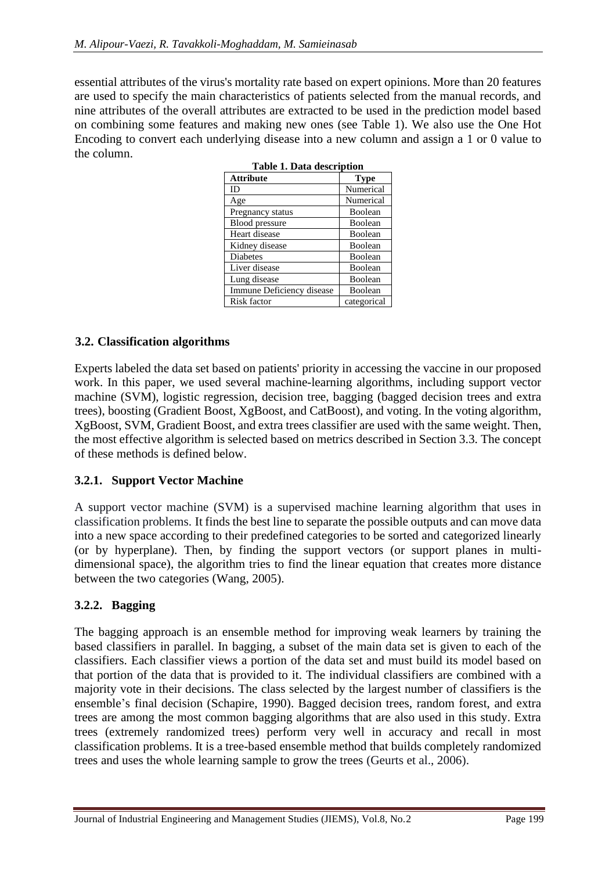essential attributes of the virus's mortality rate based on expert opinions. More than 20 features are used to specify the main characteristics of patients selected from the manual records, and nine attributes of the overall attributes are extracted to be used in the prediction model based on combining some features and making new ones (see Table 1). We also use the One Hot Encoding to convert each underlying disease into a new column and assign a 1 or 0 value to the column.

| <b>Attribute</b>          | <b>Type</b> |  |  |  |  |
|---------------------------|-------------|--|--|--|--|
| ID                        | Numerical   |  |  |  |  |
| Age                       | Numerical   |  |  |  |  |
| Pregnancy status          | Boolean     |  |  |  |  |
| <b>Blood</b> pressure     | Boolean     |  |  |  |  |
| Heart disease             | Boolean     |  |  |  |  |
| Kidney disease            | Boolean     |  |  |  |  |
| Diabetes                  | Boolean     |  |  |  |  |
| Liver disease             | Boolean     |  |  |  |  |
| Lung disease              | Boolean     |  |  |  |  |
| Immune Deficiency disease | Boolean     |  |  |  |  |
| Risk factor               | categorical |  |  |  |  |

### **3.2. Classification algorithms**

Experts labeled the data set based on patients' priority in accessing the vaccine in our proposed work. In this paper, we used several machine-learning algorithms, including support vector machine (SVM), logistic regression, decision tree, bagging (bagged decision trees and extra trees), boosting (Gradient Boost, XgBoost, and CatBoost), and voting. In the voting algorithm, XgBoost, SVM, Gradient Boost, and extra trees classifier are used with the same weight. Then, the most effective algorithm is selected based on metrics described in Section 3.3. The concept of these methods is defined below.

### **3.2.1. Support Vector Machine**

A support vector machine [\(SVM\)](https://www.baeldung.com/cs/ml-support-vector-machines) is a supervised machine learning algorithm that uses in classification problems. It finds the best line to separate the possible outputs and can move data into a new space according to their predefined categories to be sorted and categorized linearly (or by hyperplane). Then, by finding the support vectors (or support planes in multidimensional space), the algorithm tries to find the linear equation that creates more distance between the two categories (Wang, 2005).

### **3.2.2. Bagging**

The bagging approach is an ensemble method for improving weak learners by training the based classifiers in parallel. In bagging, a subset of the main data set is given to each of the classifiers. Each classifier views a portion of the data set and must build its model based on that portion of the data that is provided to it. The individual classifiers are combined with a majority vote in their decisions. The class selected by the largest number of classifiers is the ensemble's final decision (Schapire, 1990). Bagged decision trees, random forest, and extra trees are among the most common bagging algorithms that are also used in this study. Extra trees (extremely randomized trees) perform very well in accuracy and recall in most classification problems. It is a tree-based ensemble method that builds completely randomized trees and uses the whole learning sample to grow the trees (Geurts et al., 2006).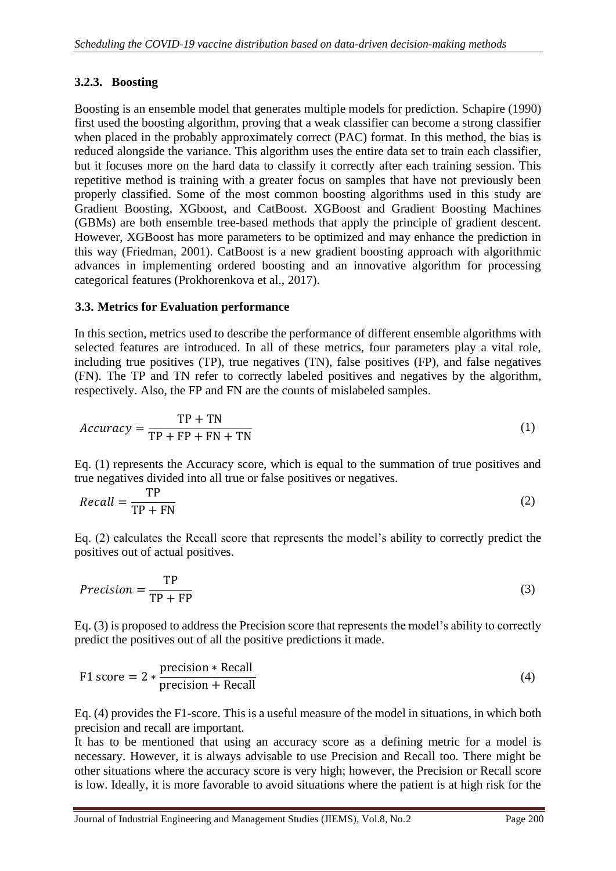### **3.2.3. Boosting**

Boosting is an ensemble model that generates multiple models for prediction. Schapire (1990) first used the boosting algorithm, proving that a weak classifier can become a strong classifier when placed in the probably approximately correct (PAC) format. In this method, the bias is reduced alongside the variance. This algorithm uses the entire data set to train each classifier, but it focuses more on the hard data to classify it correctly after each training session. This repetitive method is training with a greater focus on samples that have not previously been properly classified. Some of the most common boosting algorithms used in this study are Gradient Boosting, XGboost, and CatBoost. XGBoost and Gradient Boosting Machines (GBMs) are both ensemble tree-based methods that apply the principle of gradient descent. However, XGBoost has more parameters to be optimized and may enhance the prediction in this way (Friedman, 2001). CatBoost is a new gradient boosting approach with algorithmic advances in implementing ordered boosting and an innovative algorithm for processing categorical features (Prokhorenkova et al., 2017).

### **3.3. Metrics for Evaluation performance**

In this section, metrics used to describe the performance of different ensemble algorithms with selected features are introduced. In all of these metrics, four parameters play a vital role, including true positives (TP), true negatives (TN), false positives (FP), and false negatives (FN). The TP and TN refer to correctly labeled positives and negatives by the algorithm, respectively. Also, the FP and FN are the counts of mislabeled samples.

$$
Accuracy = \frac{TP + TN}{TP + FP + FN + TN}
$$
 (1)

Eq. (1) represents the Accuracy score, which is equal to the summation of true positives and true negatives divided into all true or false positives or negatives.

$$
Recall = \frac{TP}{TP + FN}
$$
 (2)

Eq. (2) calculates the Recall score that represents the model's ability to correctly predict the positives out of actual positives.

$$
Precision = \frac{TP}{TP + FP}
$$
 (3)

Eq. (3) is proposed to address the Precision score that represents the model's ability to correctly predict the positives out of all the positive predictions it made.

$$
F1 score = 2 * \frac{precision * Recall}{precision + Recall}
$$
 (4)

Eq. (4) provides the F1-score. This is a useful measure of the model in situations, in which both precision and recall are important.

It has to be mentioned that using an accuracy score as a defining metric for a model is necessary. However, it is always advisable to use Precision and Recall too. There might be other situations where the accuracy score is very high; however, the Precision or Recall score is low. Ideally, it is more favorable to avoid situations where the patient is at high risk for the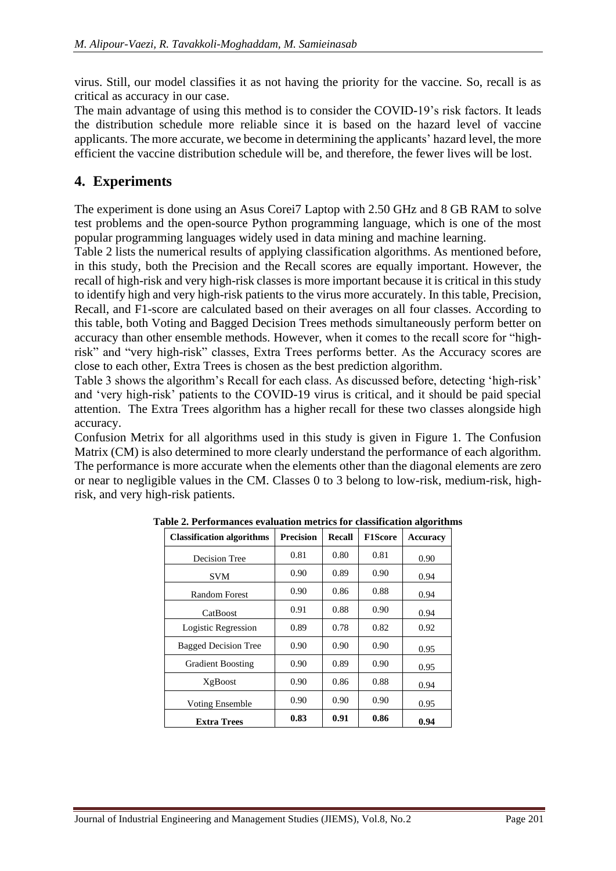virus. Still, our model classifies it as not having the priority for the vaccine. So, recall is as critical as accuracy in our case.

The main advantage of using this method is to consider the COVID-19's risk factors. It leads the distribution schedule more reliable since it is based on the hazard level of vaccine applicants. The more accurate, we become in determining the applicants' hazard level, the more efficient the vaccine distribution schedule will be, and therefore, the fewer lives will be lost.

# **4. Experiments**

The experiment is done using an Asus Corei7 Laptop with 2.50 GHz and 8 GB RAM to solve test problems and the open-source Python programming language, which is one of the most popular programming languages widely used in data mining and machine learning.

Table 2 lists the numerical results of applying classification algorithms. As mentioned before, in this study, both the Precision and the Recall scores are equally important. However, the recall of high-risk and very high-risk classes is more important because it is critical in this study to identify high and very high-risk patients to the virus more accurately. In this table, Precision, Recall, and F1-score are calculated based on their averages on all four classes. According to this table, both Voting and Bagged Decision Trees methods simultaneously perform better on accuracy than other ensemble methods. However, when it comes to the recall score for "highrisk" and "very high-risk" classes, Extra Trees performs better. As the Accuracy scores are close to each other, Extra Trees is chosen as the best prediction algorithm.

Table 3 shows the algorithm's Recall for each class. As discussed before, detecting 'high-risk' and 'very high-risk' patients to the COVID-19 virus is critical, and it should be paid special attention. The Extra Trees algorithm has a higher recall for these two classes alongside high accuracy.

Confusion Metrix for all algorithms used in this study is given in Figure 1. The Confusion Matrix (CM) is also determined to more clearly understand the performance of each algorithm. The performance is more accurate when the elements other than the diagonal elements are zero or near to negligible values in the CM. Classes 0 to 3 belong to low-risk, medium-risk, highrisk, and very high-risk patients.

| <b>Classification algorithms</b> | <b>Precision</b> | Recall | <b>F1Score</b> | <b>Accuracy</b> |
|----------------------------------|------------------|--------|----------------|-----------------|
| Decision Tree                    | 0.81             | 0.80   | 0.81           | 0.90            |
| <b>SVM</b>                       | 0.90             | 0.89   | 0.90           | 0.94            |
| Random Forest                    | 0.90             | 0.86   | 0.88           | 0.94            |
| CatBoost                         | 0.91             | 0.88   | 0.90           | 0.94            |
| Logistic Regression              | 0.89             | 0.78   | 0.82           | 0.92            |
| <b>Bagged Decision Tree</b>      | 0.90             | 0.90   | 0.90           | 0.95            |
| <b>Gradient Boosting</b>         | 0.90             | 0.89   | 0.90           | 0.95            |
| XgBoost                          | 0.90             | 0.86   | 0.88           | 0.94            |
| <b>Voting Ensemble</b>           | 0.90             | 0.90   | 0.90           | 0.95            |
| <b>Extra Trees</b>               | 0.83             | 0.91   | 0.86           | 0.94            |

**Table 2. Performances evaluation metrics for classification algorithms**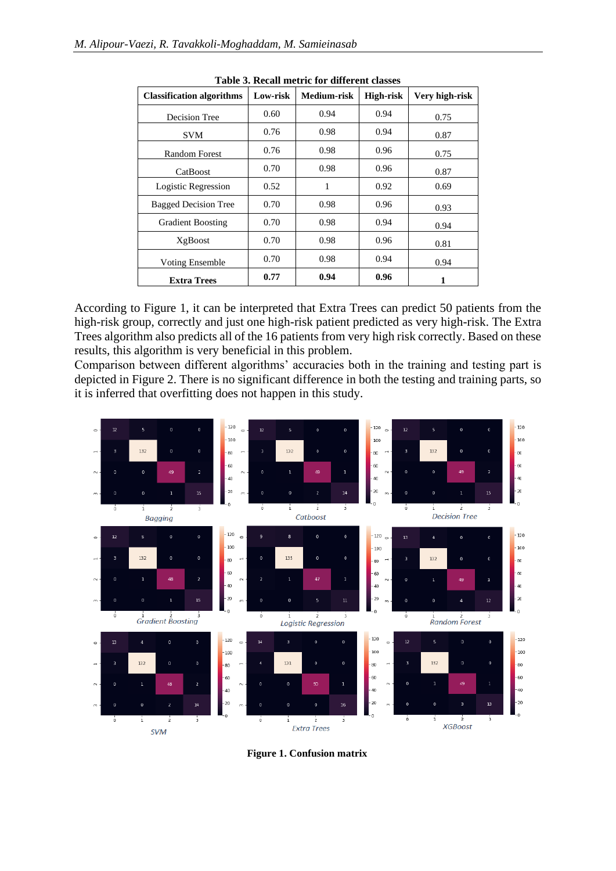| <b>Classification algorithms</b> | Low-risk | Medium-risk | <b>High-risk</b> | Very high-risk |
|----------------------------------|----------|-------------|------------------|----------------|
| Decision Tree                    | 0.60     | 0.94        | 0.94             | 0.75           |
| <b>SVM</b>                       | 0.76     | 0.98        | 0.94             | 0.87           |
| <b>Random Forest</b>             | 0.76     | 0.98        | 0.96             | 0.75           |
| CatBoost                         | 0.70     | 0.98        | 0.96             | 0.87           |
| Logistic Regression              | 0.52     | 1           | 0.92             | 0.69           |
| <b>Bagged Decision Tree</b>      | 0.70     | 0.98        | 0.96             | 0.93           |
| <b>Gradient Boosting</b>         | 0.70     | 0.98        | 0.94             | 0.94           |
| XgBoost                          | 0.70     | 0.98        | 0.96             | 0.81           |
| <b>Voting Ensemble</b>           | 0.70     | 0.98        | 0.94             | 0.94           |
| <b>Extra Trees</b>               | 0.77     | 0.94        | 0.96             | 1              |

**Table 3. Recall metric for different classes**

According to Figure 1, it can be interpreted that Extra Trees can predict 50 patients from the high-risk group, correctly and just one high-risk patient predicted as very high-risk. The Extra Trees algorithm also predicts all of the 16 patients from very high risk correctly. Based on these results, this algorithm is very beneficial in this problem.

Comparison between different algorithms' accuracies both in the training and testing part is depicted in Figure 2. There is no significant difference in both the testing and training parts, so it is inferred that overfitting does not happen in this study.



**Figure 1. Confusion matrix**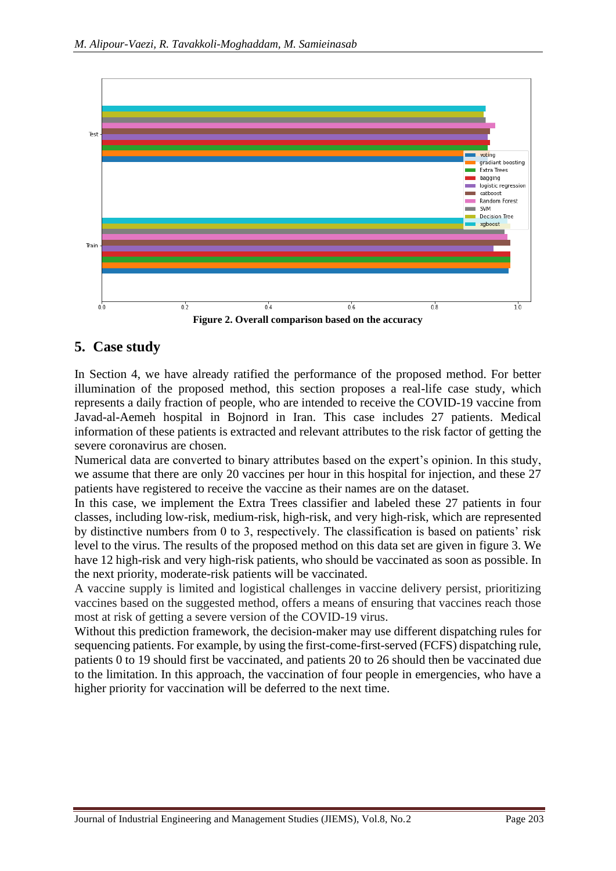

## **5. Case study**

In Section 4, we have already ratified the performance of the proposed method. For better illumination of the proposed method, this section proposes a real-life case study, which represents a daily fraction of people, who are intended to receive the COVID-19 vaccine from Javad-al-Aemeh hospital in Bojnord in Iran. This case includes 27 patients. Medical information of these patients is extracted and relevant attributes to the risk factor of getting the severe coronavirus are chosen.

Numerical data are converted to binary attributes based on the expert's opinion. In this study, we assume that there are only 20 vaccines per hour in this hospital for injection, and these 27 patients have registered to receive the vaccine as their names are on the dataset.

In this case, we implement the Extra Trees classifier and labeled these 27 patients in four classes, including low-risk, medium-risk, high-risk, and very high-risk, which are represented by distinctive numbers from 0 to 3, respectively. The classification is based on patients' risk level to the virus. The results of the proposed method on this data set are given in figure 3. We have 12 high-risk and very high-risk patients, who should be vaccinated as soon as possible. In the next priority, moderate-risk patients will be vaccinated.

A vaccine supply is limited and logistical challenges in vaccine delivery persist, prioritizing vaccines based on the suggested method, offers a means of ensuring that vaccines reach those most at risk of getting a severe version of the COVID-19 virus.

Without this prediction framework, the decision-maker may use different dispatching rules for sequencing patients. For example, by using the first-come-first-served (FCFS) dispatching rule, patients 0 to 19 should first be vaccinated, and patients 20 to 26 should then be vaccinated due to the limitation. In this approach, the vaccination of four people in emergencies, who have a higher priority for vaccination will be deferred to the next time.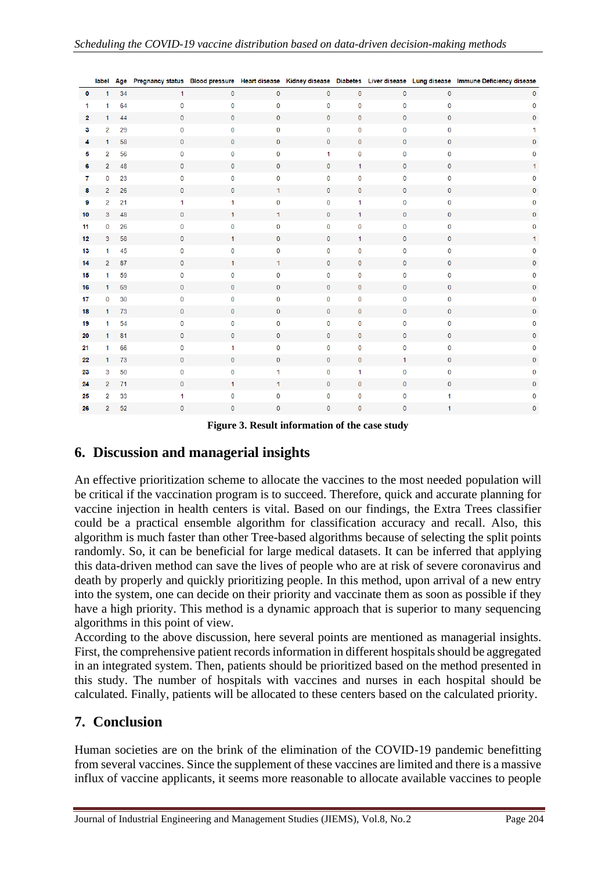|              | label          | Age |              |              |              |              |              |                |              | Pregnancy status Blood pressure Heart disease Kidney disease Diabetes Liver disease Lung disease Immune Deficiency disease |
|--------------|----------------|-----|--------------|--------------|--------------|--------------|--------------|----------------|--------------|----------------------------------------------------------------------------------------------------------------------------|
| $\mathbf{0}$ | $\mathbf{1}$   | 34  | $\mathbf{1}$ | $\mathbf 0$  | $\mathbf 0$  | $\mathbf{0}$ | $\mathbf 0$  | $\mathbf{0}$   | 0            | $\mathbf 0$                                                                                                                |
| 1            | 1              | 64  | $\mathbf 0$  | $\mathbf{0}$ | $\mathbf 0$  | $\mathbf 0$  | $\mathbf 0$  | $\mathbf{O}$   | 0            | $\mathbf 0$                                                                                                                |
| 2            | $\mathbf{1}$   | 44  | $\mathbf{0}$ | $\mathbf{0}$ | $\mathbf 0$  | $\mathbf 0$  | $\mathbf{0}$ | $\mathbf{O}$   | $\mathbf 0$  | $\mathbf 0$                                                                                                                |
| 3            | $\overline{2}$ | 29  | 0            | 0            | $\mathbf 0$  | $\mathbf 0$  | $\bf{0}$     | 0              | 0            | 1                                                                                                                          |
| 4            | 1              | 58  | $\mathbf{0}$ | $\mathbf 0$  | $\mathbf 0$  | $\mathbf 0$  | $\mathbf 0$  | 0              | $\mathbf 0$  | $\mathbf{0}$                                                                                                               |
| 5            | $\overline{2}$ | 56  | $\mathbf 0$  | $\mathbf 0$  | 0            | $\mathbf{1}$ | $\mathbf{0}$ | $\mathbf{O}$   | $\mathbf 0$  | 0                                                                                                                          |
| 6            | $\overline{2}$ | 48  | $\mathbf{O}$ | $\mathbf{0}$ | $\mathbf 0$  | $\mathbf 0$  | $\mathbf{1}$ | $\overline{0}$ | $\mathbf 0$  | 1.                                                                                                                         |
| $\mathbf{7}$ | $\mathbf 0$    | 23  | $\mathbf 0$  | $\Omega$     | $\mathbf 0$  | $\mathbf 0$  | $\mathbf 0$  | $\mathbf{O}$   | 0            | $\mathbf 0$                                                                                                                |
| 8            | $\overline{2}$ | 26  | 0            | 0            | 1            | $\mathbf 0$  | $\mathbf 0$  | 0              | 0            | 0                                                                                                                          |
| 9            | $\overline{2}$ | 21  | 1            | 1            | $\pmb{0}$    | $\mathbf 0$  | $\mathbf{1}$ | 0              | 0            | $\bf{0}$                                                                                                                   |
| 10           | 3              | 48  | $\mathbf{O}$ | $\mathbf{1}$ | $\mathbf{1}$ | $\mathbf{0}$ | $\mathbf{1}$ | $\mathbf{0}$   | $\mathbf{0}$ | $\mathbf{0}$                                                                                                               |
| 11           | $\mathbf 0$    | 26  | $\mathbf 0$  | $\mathbf 0$  | 0            | 0            | $\mathbf{0}$ | $\mathbf{O}$   | $\mathbf 0$  | 0                                                                                                                          |
| 12           | 3              | 58  | $\mathbf{0}$ | $\mathbf{1}$ | $\mathbf 0$  | $\mathbf 0$  | $\mathbf{1}$ | $\mathbf 0$    | $\mathbf 0$  | 1.                                                                                                                         |
| 13           | $\mathbf{1}$   | 45  | 0            | 0            | $\mathbf 0$  | $\mathbf 0$  | $\pmb{0}$    | 0              | 0            | 0                                                                                                                          |
| 14           | $\overline{2}$ | 87  | $\mathbf 0$  | 1.           | 1            | $\mathbf 0$  | $\mathbf 0$  | 0              | 0            | 0                                                                                                                          |
| 15           | $\mathbf{1}$   | 59  | 0            | 0            | $\mathbf 0$  | $\bf{0}$     | $\mathbf{0}$ | $\mathbf 0$    | 0            | $\bf{0}$                                                                                                                   |
| 16           | $\mathbf{1}$   | 69  | $\mathbf{O}$ | $\mathbf{0}$ | $\mathbf 0$  | $\mathbf 0$  | $\mathbf 0$  | $\mathbf{0}$   | 0            | $\mathbf{0}$                                                                                                               |
| 17           | $\mathbf 0$    | 30  | 0            | $\mathbf 0$  | 0            | $\mathbf 0$  | $\mathbf 0$  | 0              | 0            | 0                                                                                                                          |
| 18           | $\mathbf{1}$   | 73  | $\mathbf{0}$ | $\mathbf 0$  | $\mathbf 0$  | $\mathbf 0$  | $\mathbf 0$  | $\mathbf{0}$   | $\mathbf 0$  | 0                                                                                                                          |
| 19           | 1              | 54  | 0            | 0            | 0            | $\mathbf 0$  | $\mathbf 0$  | 0              | 0            | 0                                                                                                                          |
| 20           | $\mathbf{1}$   | 81  | $\mathbf 0$  | $\mathbf{0}$ | $\mathbf 0$  | $\mathbf{0}$ | $\mathbf{0}$ | $\mathbf{0}$   | 0            | 0                                                                                                                          |
| 21           | $\mathbf{1}$   | 66  | 0            | 1            | 0            | $\bf{0}$     | $\mathbf 0$  | 0              | 0            | 0                                                                                                                          |
| 22           | $\mathbf{1}$   | 73  | 0            | 0            | $\mathbf 0$  | $\mathbf 0$  | $\mathbf 0$  | 1              | $\mathbf 0$  | $\mathbf 0$                                                                                                                |
| 23           | 3              | 50  | 0            | 0            | 1            | $\mathbf 0$  | $\mathbf{1}$ | 0              | 0            | 0                                                                                                                          |
| 24           | $\overline{2}$ | 71  | $\mathbf 0$  | $\mathbf{1}$ | 1            | $\mathbf 0$  | $\mathbf 0$  | $\mathbf{0}$   | $\mathbf{O}$ | $\mathbf 0$                                                                                                                |
| 25           | $\overline{2}$ | 33  | 1            | 0            | $\mathbf 0$  | $\mathbf 0$  | $\mathbf 0$  | $\mathbf 0$    | 1            | 0                                                                                                                          |
| 26           | $\overline{2}$ | 52  | $\mathbf 0$  | $\mathbf{0}$ | $\mathbf{0}$ | $\mathbf{0}$ | $\mathbf{0}$ | $\mathbf{0}$   | 1            | $\mathbf{0}$                                                                                                               |

**Figure 3. Result information of the case study** 

## **6. Discussion and managerial insights**

An effective prioritization scheme to allocate the vaccines to the most needed population will be critical if the vaccination program is to succeed. Therefore, quick and accurate planning for vaccine injection in health centers is vital. Based on our findings, the Extra Trees classifier could be a practical ensemble algorithm for classification accuracy and recall. Also, this algorithm is much faster than other Tree-based algorithms because of selecting the split points randomly. So, it can be beneficial for large medical datasets. It can be inferred that applying this data-driven method can save the lives of people who are at risk of severe coronavirus and death by properly and quickly prioritizing people. In this method, upon arrival of a new entry into the system, one can decide on their priority and vaccinate them as soon as possible if they have a high priority. This method is a dynamic approach that is superior to many sequencing algorithms in this point of view.

According to the above discussion, here several points are mentioned as managerial insights. First, the comprehensive patient records information in different hospitals should be aggregated in an integrated system. Then, patients should be prioritized based on the method presented in this study. The number of hospitals with vaccines and nurses in each hospital should be calculated. Finally, patients will be allocated to these centers based on the calculated priority.

# **7. Conclusion**

Human societies are on the brink of the elimination of the COVID-19 pandemic benefitting from several vaccines. Since the supplement of these vaccines are limited and there is a massive influx of vaccine applicants, it seems more reasonable to allocate available vaccines to people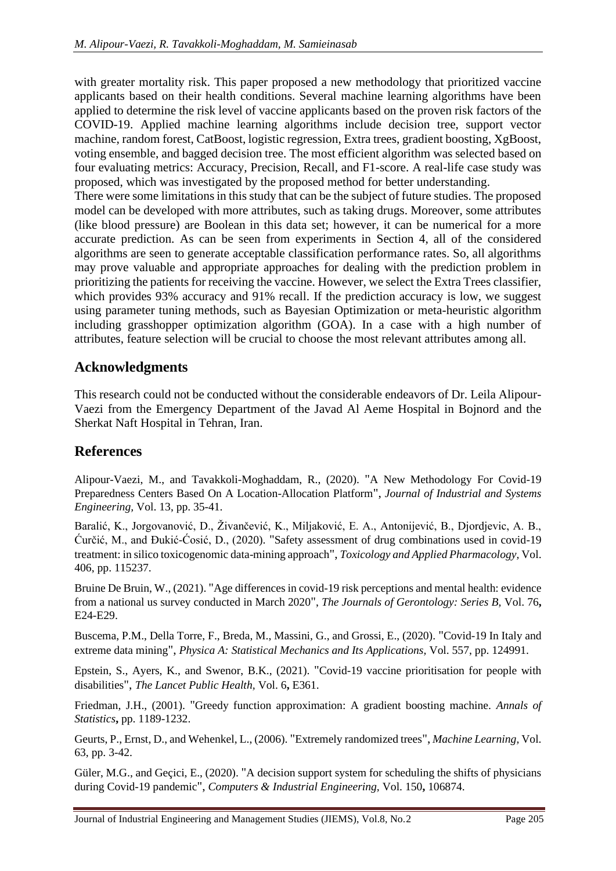with greater mortality risk. This paper proposed a new methodology that prioritized vaccine applicants based on their health conditions. Several machine learning algorithms have been applied to determine the risk level of vaccine applicants based on the proven risk factors of the COVID-19. Applied machine learning algorithms include decision tree, support vector machine, random forest, CatBoost, logistic regression, Extra trees, gradient boosting, XgBoost, voting ensemble, and bagged decision tree. The most efficient algorithm was selected based on four evaluating metrics: Accuracy, Precision, Recall, and F1-score. A real-life case study was proposed, which was investigated by the proposed method for better understanding.

There were some limitations in this study that can be the subject of future studies. The proposed model can be developed with more attributes, such as taking drugs. Moreover, some attributes (like blood pressure) are Boolean in this data set; however, it can be numerical for a more accurate prediction. As can be seen from experiments in Section 4, all of the considered algorithms are seen to generate acceptable classification performance rates. So, all algorithms may prove valuable and appropriate approaches for dealing with the prediction problem in prioritizing the patients for receiving the vaccine. However, we select the Extra Trees classifier, which provides 93% accuracy and 91% recall. If the prediction accuracy is low, we suggest using parameter tuning methods, such as Bayesian Optimization or meta-heuristic algorithm including grasshopper optimization algorithm (GOA). In a case with a high number of attributes, feature selection will be crucial to choose the most relevant attributes among all.

# **Acknowledgments**

This research could not be conducted without the considerable endeavors of Dr. Leila Alipour-Vaezi from the Emergency Department of the Javad Al Aeme Hospital in Bojnord and the Sherkat Naft Hospital in Tehran, Iran.

## **References**

Alipour-Vaezi, M., and Tavakkoli-Moghaddam, R., (2020). "A New Methodology For Covid-19 Preparedness Centers Based On A Location-Allocation Platform", *Journal of Industrial and Systems Engineering,* Vol. 13, pp. 35-41.

Baralić, K., Jorgovanović, D., Živančević, K., Miljaković, E. A., Antonijević, B., Djordjevic, A. B., Ćurčić, M., and Đukić-Ćosić, D., (2020). "Safety assessment of drug combinations used in covid-19 treatment: in silico toxicogenomic data-mining approach", *Toxicology and Applied Pharmacology,* Vol. 406, pp. 115237.

Bruine De Bruin, W., (2021). "Age differences in covid-19 risk perceptions and mental health: evidence from a national us survey conducted in March 2020", *The Journals of Gerontology: Series B,* Vol. 76**,** E24-E29.

Buscema, P.M., Della Torre, F., Breda, M., Massini, G., and Grossi, E., (2020). "Covid-19 In Italy and extreme data mining", *Physica A: Statistical Mechanics and Its Applications,* Vol. 557, pp. 124991.

Epstein, S., Ayers, K., and Swenor, B.K., (2021). "Covid-19 vaccine prioritisation for people with disabilities", *The Lancet Public Health,* Vol. 6**,** E361.

Friedman, J.H., (2001). "Greedy function approximation: A gradient boosting machine. *Annals of Statistics***,** pp. 1189-1232.

Geurts, P., Ernst, D., and Wehenkel, L., (2006). "Extremely randomized trees", *Machine Learning,* Vol. 63, pp. 3-42.

Güler, M.G., and Geçici, E., (2020). "A decision support system for scheduling the shifts of physicians during Covid-19 pandemic", *Computers & Industrial Engineering,* Vol. 150**,** 106874.